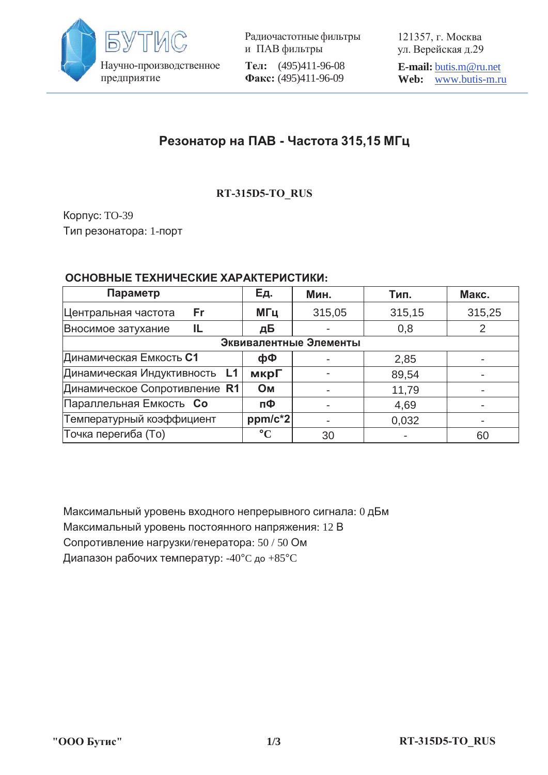

Радиочастотные фильтры и ПАВ фильтры **Тел:** (495)411-96-08 Факс: (495)411-96-09

121357, г. Москва ул. Верейская д.29

**E-mail:** butis.m@ru.net **Web:** www.butis-m.ru

# **Ɋɟɡɨɧɚɬɨɪ ɧɚ ɉȺȼ - ɑɚɫɬɨɬɚ 315,15 ɆȽɰ**

## **RT-315D5-TO\_RUS**

Корпус: TO-39 Тип резонатора: 1-порт

### ОСНОВНЫЕ ТЕХНИЧЕСКИЕ ХАРАКТЕРИСТИКИ:

| Параметр                         | Ед.             | Мин.   | Тип.   | Макс.  |
|----------------------------------|-----------------|--------|--------|--------|
| Fr<br>Центральная частота        | МГц             | 315,05 | 315,15 | 315,25 |
| Вносимое затухание<br>IL         | дБ              |        | 0,8    |        |
| Эквивалентные Элементы           |                 |        |        |        |
| Динамическая Емкость С1          | фФ              |        | 2,85   |        |
| Динамическая Индуктивность<br>L1 | мкрГ            |        | 89,54  |        |
| Динамическое Сопротивление R1    | <b>OM</b>       |        | 11,79  |        |
| Параллельная Емкость Со          | пФ              |        | 4,69   |        |
| Температурный коэффициент        | ppm/c*2         |        | 0,032  |        |
| Точка перегиба (То)              | $\rm ^{\circ}C$ | 30     |        | 60     |

Максимальный уровень входного непрерывного сигнала: 0 дБм Максимальный уровень постоянного напряжения: 12 В Сопротивление нагрузки/генератора: 50 / 50 Ом

Диапазон рабочих температур: -40°С до +85°С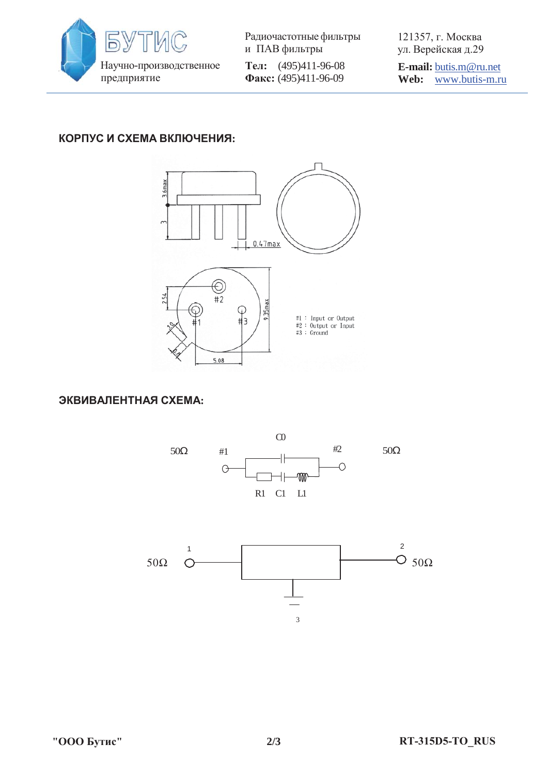

Радиочастотные фильтры и ПАВ фильтры **Тел:** (495)411-96-08 Φaκc: (495)411-96-09

121357, г. Москва ул. Верейская д.29

**E-mail:** butis.m@ru.net **Web:** www.butis-m.ru

### КОРПУС И СХЕМА ВКЛЮЧЕНИЯ:



ЭКВИВАЛЕНТНАЯ СХЕМА: